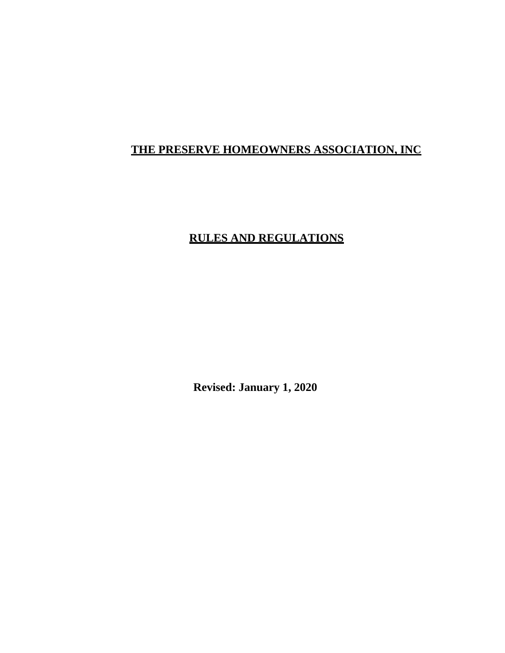# <span id="page-0-0"></span>**THE PRESERVE HOMEOWNERS ASSOCIATION, INC**

# **RULES AND REGULATIONS**

**Revised: January 1, 2020**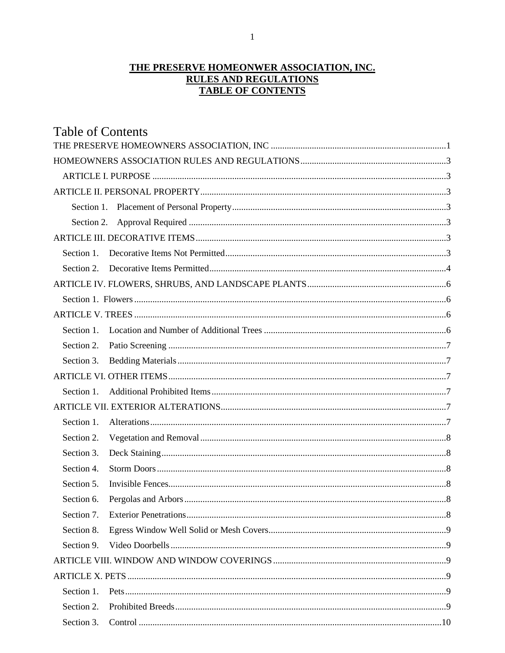## THE PRESERVE HOMEONWER ASSOCIATION, INC. **RULES AND REGULATIONS TABLE OF CONTENTS**

| <b>Table of Contents</b> |  |
|--------------------------|--|
|                          |  |
|                          |  |
|                          |  |
|                          |  |
|                          |  |
|                          |  |
|                          |  |
| Section 1.               |  |
| Section 2.               |  |
|                          |  |
|                          |  |
|                          |  |
| Section 1.               |  |
| Section 2.               |  |
| Section 3.               |  |
|                          |  |
| Section 1.               |  |
|                          |  |
| Section 1.               |  |
| Section 2.               |  |
| Section 3.               |  |
| Section 4.               |  |
| Section 5.               |  |
| Section 6.               |  |
| Section 7.               |  |
| Section 8.               |  |
| Section 9.               |  |
|                          |  |
|                          |  |
| Section 1.               |  |
| Section 2.               |  |
| Section 3.               |  |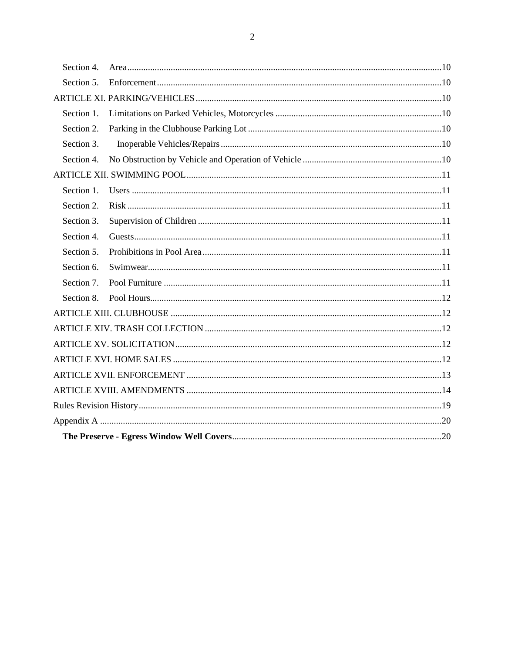| Section 4. |  |  |  |  |
|------------|--|--|--|--|
| Section 5. |  |  |  |  |
|            |  |  |  |  |
| Section 1. |  |  |  |  |
| Section 2. |  |  |  |  |
| Section 3. |  |  |  |  |
| Section 4. |  |  |  |  |
|            |  |  |  |  |
| Section 1. |  |  |  |  |
| Section 2. |  |  |  |  |
| Section 3. |  |  |  |  |
| Section 4. |  |  |  |  |
| Section 5. |  |  |  |  |
| Section 6. |  |  |  |  |
| Section 7. |  |  |  |  |
| Section 8. |  |  |  |  |
|            |  |  |  |  |
|            |  |  |  |  |
|            |  |  |  |  |
|            |  |  |  |  |
|            |  |  |  |  |
|            |  |  |  |  |
|            |  |  |  |  |
|            |  |  |  |  |
|            |  |  |  |  |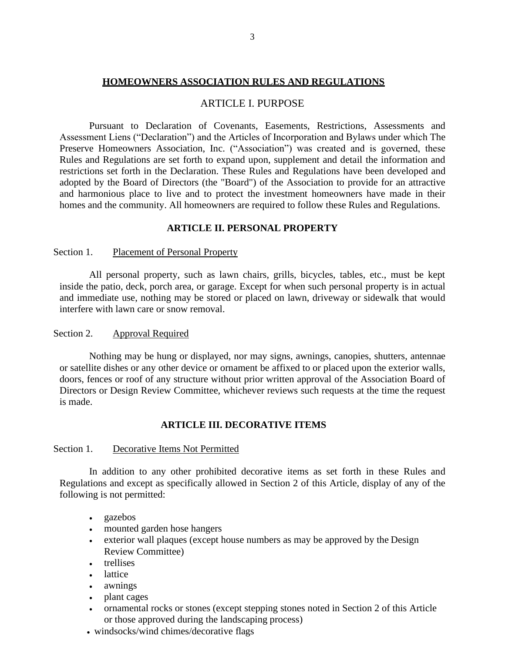#### **HOMEOWNERS ASSOCIATION RULES AND REGULATIONS**

#### ARTICLE I. PURPOSE

<span id="page-3-1"></span><span id="page-3-0"></span>Pursuant to Declaration of Covenants, Easements, Restrictions, Assessments and Assessment Liens ("Declaration") and the Articles of Incorporation and Bylaws under which The Preserve Homeowners Association, Inc. ("Association") was created and is governed, these Rules and Regulations are set forth to expand upon, supplement and detail the information and restrictions set forth in the Declaration. These Rules and Regulations have been developed and adopted by the Board of Directors (the "Board") of the Association to provide for an attractive and harmonious place to live and to protect the investment homeowners have made in their homes and the community. All homeowners are required to follow these Rules and Regulations.

#### **ARTICLE II. PERSONAL PROPERTY**

#### <span id="page-3-3"></span><span id="page-3-2"></span>Section 1. Placement of Personal Property

All personal property, such as lawn chairs, grills, bicycles, tables, etc., must be kept inside the patio, deck, porch area, or garage. Except for when such personal property is in actual and immediate use, nothing may be stored or placed on lawn, driveway or sidewalk that would interfere with lawn care or snow removal.

#### <span id="page-3-4"></span>Section 2. Approval Required

Nothing may be hung or displayed, nor may signs, awnings, canopies, shutters, antennae or satellite dishes or any other device or ornament be affixed to or placed upon the exterior walls, doors, fences or roof of any structure without prior written approval of the Association Board of Directors or Design Review Committee, whichever reviews such requests at the time the request is made.

#### **ARTICLE III. DECORATIVE ITEMS**

#### <span id="page-3-6"></span><span id="page-3-5"></span>Section 1. Decorative Items Not Permitted

In addition to any other prohibited decorative items as set forth in these Rules and Regulations and except as specifically allowed in Section 2 of this Article, display of any of the following is not permitted:

- gazebos
- mounted garden hose hangers
- exterior wall plaques (except house numbers as may be approved by the Design Review Committee)
- trellises
- lattice
- awnings
- plant cages
- ornamental rocks or stones (except stepping stones noted in Section 2 of this Article or those approved during the landscaping process)
- windsocks/wind chimes/decorative flags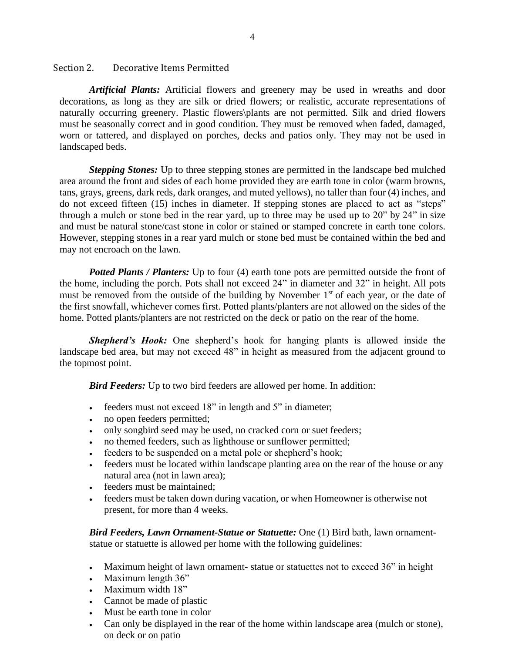### <span id="page-4-0"></span>Section 2. Decorative Items Permitted

*Artificial Plants:* Artificial flowers and greenery may be used in wreaths and door decorations, as long as they are silk or dried flowers; or realistic, accurate representations of naturally occurring greenery. Plastic flowers\plants are not permitted. Silk and dried flowers must be seasonally correct and in good condition. They must be removed when faded, damaged, worn or tattered, and displayed on porches, decks and patios only. They may not be used in landscaped beds.

*Stepping Stones:* Up to three stepping stones are permitted in the landscape bed mulched area around the front and sides of each home provided they are earth tone in color (warm browns, tans, grays, greens, dark reds, dark oranges, and muted yellows), no taller than four (4) inches, and do not exceed fifteen (15) inches in diameter. If stepping stones are placed to act as "steps" through a mulch or stone bed in the rear yard, up to three may be used up to 20" by 24" in size and must be natural stone/cast stone in color or stained or stamped concrete in earth tone colors. However, stepping stones in a rear yard mulch or stone bed must be contained within the bed and may not encroach on the lawn.

*Potted Plants / Planters:* Up to four (4) earth tone pots are permitted outside the front of the home, including the porch. Pots shall not exceed 24" in diameter and 32" in height. All pots must be removed from the outside of the building by November  $1<sup>st</sup>$  of each year, or the date of the first snowfall, whichever comes first. Potted plants/planters are not allowed on the sides of the home. Potted plants/planters are not restricted on the deck or patio on the rear of the home.

*Shepherd's Hook:* One shepherd's hook for hanging plants is allowed inside the landscape bed area, but may not exceed 48" in height as measured from the adjacent ground to the topmost point.

*Bird Feeders:* Up to two bird feeders are allowed per home. In addition:

- feeders must not exceed 18" in length and 5" in diameter;
- no open feeders permitted;
- only songbird seed may be used, no cracked corn or suet feeders;
- no themed feeders, such as lighthouse or sunflower permitted;
- feeders to be suspended on a metal pole or shepherd's hook;
- feeders must be located within landscape planting area on the rear of the house or any natural area (not in lawn area);
- feeders must be maintained;
- feeders must be taken down during vacation, or when Homeowner is otherwise not present, for more than 4 weeks.

*Bird Feeders, Lawn Ornament-Statue or Statuette:* One (1) Bird bath, lawn ornamentstatue or statuette is allowed per home with the following guidelines:

- Maximum height of lawn ornament-statue or statuettes not to exceed 36" in height
- Maximum length 36"
- Maximum width 18"
- Cannot be made of plastic
- Must be earth tone in color
- Can only be displayed in the rear of the home within landscape area (mulch or stone), on deck or on patio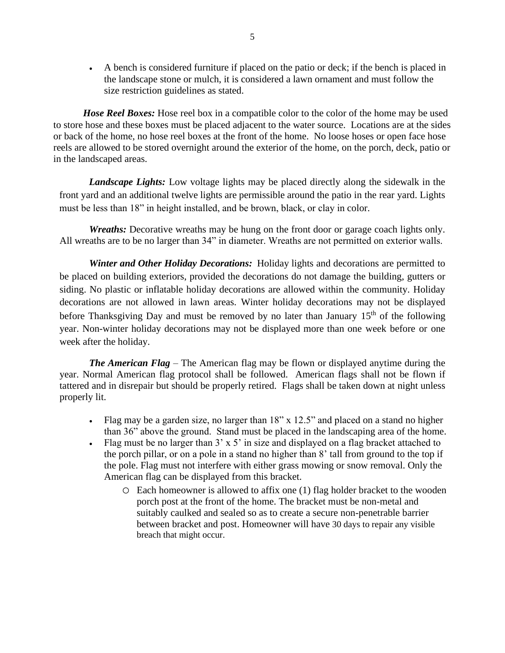• A bench is considered furniture if placed on the patio or deck; if the bench is placed in the landscape stone or mulch, it is considered a lawn ornament and must follow the size restriction guidelines as stated.

*Hose Reel Boxes:* Hose reel box in a compatible color to the color of the home may be used to store hose and these boxes must be placed adjacent to the water source. Locations are at the sides or back of the home, no hose reel boxes at the front of the home. No loose hoses or open face hose reels are allowed to be stored overnight around the exterior of the home, on the porch, deck, patio or in the landscaped areas.

*Landscape Lights:* Low voltage lights may be placed directly along the sidewalk in the front yard and an additional twelve lights are permissible around the patio in the rear yard. Lights must be less than 18" in height installed, and be brown, black, or clay in color.

*Wreaths:* Decorative wreaths may be hung on the front door or garage coach lights only. All wreaths are to be no larger than 34" in diameter. Wreaths are not permitted on exterior walls.

*Winter and Other Holiday Decorations:* Holiday lights and decorations are permitted to be placed on building exteriors, provided the decorations do not damage the building, gutters or siding. No plastic or inflatable holiday decorations are allowed within the community. Holiday decorations are not allowed in lawn areas. Winter holiday decorations may not be displayed before Thanksgiving Day and must be removed by no later than January  $15<sup>th</sup>$  of the following year. Non-winter holiday decorations may not be displayed more than one week before or one week after the holiday.

*The American Flag* – The American flag may be flown or displayed anytime during the year. Normal American flag protocol shall be followed. American flags shall not be flown if tattered and in disrepair but should be properly retired. Flags shall be taken down at night unless properly lit.

- Flag may be a garden size, no larger than 18" x 12.5" and placed on a stand no higher than 36" above the ground. Stand must be placed in the landscaping area of the home.
- Flag must be no larger than  $3' \times 5'$  in size and displayed on a flag bracket attached to the porch pillar, or on a pole in a stand no higher than 8' tall from ground to the top if the pole. Flag must not interfere with either grass mowing or snow removal. Only the American flag can be displayed from this bracket.
	- o Each homeowner is allowed to affix one (1) flag holder bracket to the wooden porch post at the front of the home. The bracket must be non-metal and suitably caulked and sealed so as to create a secure non-penetrable barrier between bracket and post. Homeowner will have 30 days to repair any visible breach that might occur.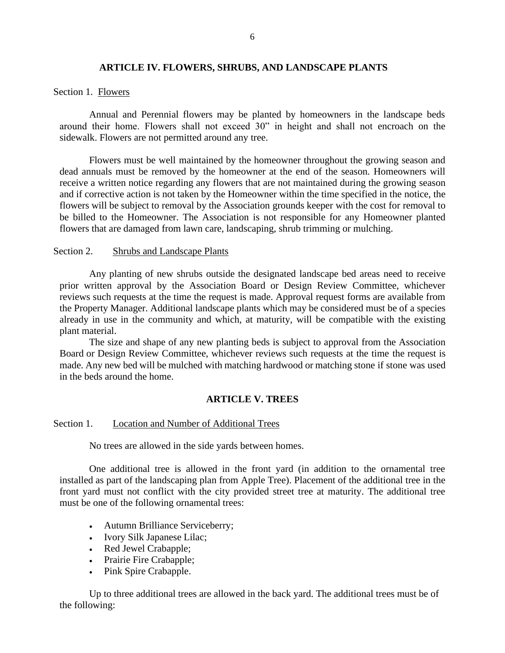## **ARTICLE IV. FLOWERS, SHRUBS, AND LANDSCAPE PLANTS**

#### <span id="page-6-1"></span><span id="page-6-0"></span>Section 1. Flowers

Annual and Perennial flowers may be planted by homeowners in the landscape beds around their home. Flowers shall not exceed 30" in height and shall not encroach on the sidewalk. Flowers are not permitted around any tree.

Flowers must be well maintained by the homeowner throughout the growing season and dead annuals must be removed by the homeowner at the end of the season. Homeowners will receive a written notice regarding any flowers that are not maintained during the growing season and if corrective action is not taken by the Homeowner within the time specified in the notice, the flowers will be subject to removal by the Association grounds keeper with the cost for removal to be billed to the Homeowner. The Association is not responsible for any Homeowner planted flowers that are damaged from lawn care, landscaping, shrub trimming or mulching.

#### Section 2. Shrubs and Landscape Plants

Any planting of new shrubs outside the designated landscape bed areas need to receive prior written approval by the Association Board or Design Review Committee, whichever reviews such requests at the time the request is made. Approval request forms are available from the Property Manager. Additional landscape plants which may be considered must be of a species already in use in the community and which, at maturity, will be compatible with the existing plant material.

The size and shape of any new planting beds is subject to approval from the Association Board or Design Review Committee, whichever reviews such requests at the time the request is made. Any new bed will be mulched with matching hardwood or matching stone if stone was used in the beds around the home.

#### **ARTICLE V. TREES**

### <span id="page-6-3"></span><span id="page-6-2"></span>Section 1. Location and Number of Additional Trees

No trees are allowed in the side yards between homes.

One additional tree is allowed in the front yard (in addition to the ornamental tree installed as part of the landscaping plan from Apple Tree). Placement of the additional tree in the front yard must not conflict with the city provided street tree at maturity. The additional tree must be one of the following ornamental trees:

- Autumn Brilliance Serviceberry;
- Ivory Silk Japanese Lilac;
- Red Jewel Crabapple;
- Prairie Fire Crabapple;
- Pink Spire Crabapple.

Up to three additional trees are allowed in the back yard. The additional trees must be of the following: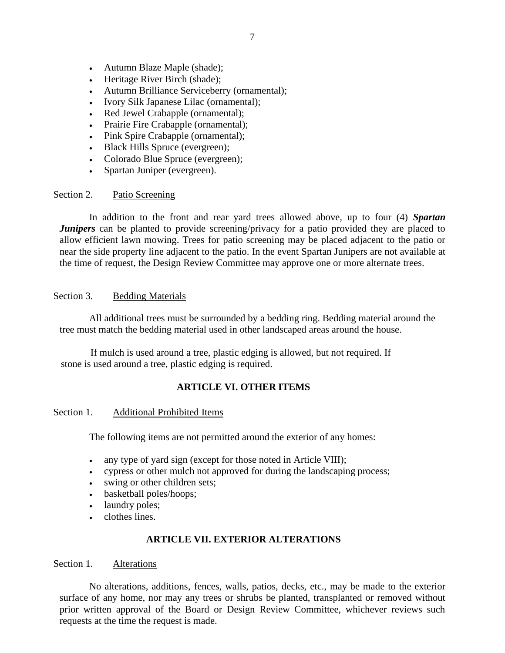- Autumn Blaze Maple (shade);
- Heritage River Birch (shade);
- Autumn Brilliance Serviceberry (ornamental);
- Ivory Silk Japanese Lilac (ornamental);
- Red Jewel Crabapple (ornamental);
- Prairie Fire Crabapple (ornamental);
- Pink Spire Crabapple (ornamental);
- Black Hills Spruce (evergreen);
- Colorado Blue Spruce (evergreen);
- Spartan Juniper (evergreen).

## <span id="page-7-0"></span>Section 2. Patio Screening

In addition to the front and rear yard trees allowed above, up to four (4) *Spartan Junipers* can be planted to provide screening/privacy for a patio provided they are placed to allow efficient lawn mowing. Trees for patio screening may be placed adjacent to the patio or near the side property line adjacent to the patio. In the event Spartan Junipers are not available at the time of request, the Design Review Committee may approve one or more alternate trees.

### <span id="page-7-1"></span>Section 3. Bedding Materials

All additional trees must be surrounded by a bedding ring. Bedding material around the tree must match the bedding material used in other landscaped areas around the house.

If mulch is used around a tree, plastic edging is allowed, but not required. If stone is used around a tree, plastic edging is required.

## **ARTICLE VI. OTHER ITEMS**

## <span id="page-7-3"></span><span id="page-7-2"></span>Section 1. Additional Prohibited Items

The following items are not permitted around the exterior of any homes:

- any type of yard sign (except for those noted in Article VIII);
- cypress or other mulch not approved for during the landscaping process;
- swing or other children sets;
- basketball poles/hoops;
- laundry poles;
- clothes lines.

## **ARTICLE VII. EXTERIOR ALTERATIONS**

#### <span id="page-7-5"></span><span id="page-7-4"></span>Section 1. Alterations

No alterations, additions, fences, walls, patios, decks, etc., may be made to the exterior surface of any home, nor may any trees or shrubs be planted, transplanted or removed without prior written approval of the Board or Design Review Committee, whichever reviews such requests at the time the request is made.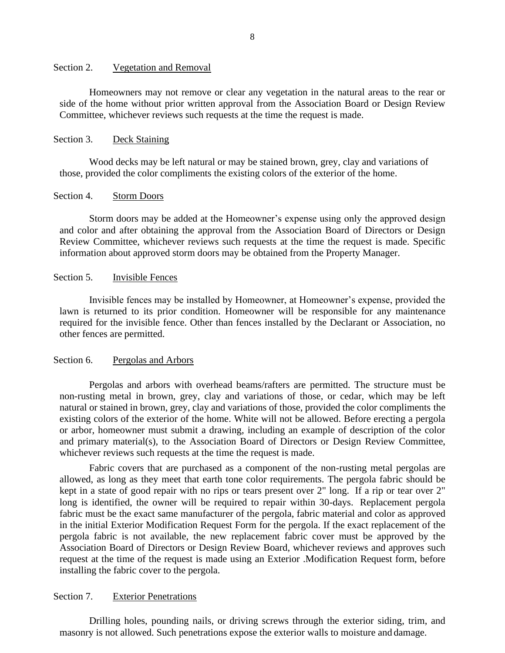#### <span id="page-8-0"></span>Section 2. Vegetation and Removal

Homeowners may not remove or clear any vegetation in the natural areas to the rear or side of the home without prior written approval from the Association Board or Design Review Committee, whichever reviews such requests at the time the request is made.

#### <span id="page-8-1"></span>Section 3. Deck Staining

Wood decks may be left natural or may be stained brown, grey, clay and variations of those, provided the color compliments the existing colors of the exterior of the home.

#### <span id="page-8-2"></span>Section 4. Storm Doors

Storm doors may be added at the Homeowner's expense using only the approved design and color and after obtaining the approval from the Association Board of Directors or Design Review Committee, whichever reviews such requests at the time the request is made. Specific information about approved storm doors may be obtained from the Property Manager.

#### <span id="page-8-3"></span>Section 5. Invisible Fences

Invisible fences may be installed by Homeowner, at Homeowner's expense, provided the lawn is returned to its prior condition. Homeowner will be responsible for any maintenance required for the invisible fence. Other than fences installed by the Declarant or Association, no other fences are permitted.

#### <span id="page-8-4"></span>Section 6. Pergolas and Arbors

Pergolas and arbors with overhead beams/rafters are permitted. The structure must be non-rusting metal in brown, grey, clay and variations of those, or cedar, which may be left natural or stained in brown, grey, clay and variations of those, provided the color compliments the existing colors of the exterior of the home. White will not be allowed. Before erecting a pergola or arbor, homeowner must submit a drawing, including an example of description of the color and primary material(s), to the Association Board of Directors or Design Review Committee, whichever reviews such requests at the time the request is made.

Fabric covers that are purchased as a component of the non-rusting metal pergolas are allowed, as long as they meet that earth tone color requirements. The pergola fabric should be kept in a state of good repair with no rips or tears present over 2" long. If a rip or tear over 2" long is identified, the owner will be required to repair within 30-days. Replacement pergola fabric must be the exact same manufacturer of the pergola, fabric material and color as approved in the initial Exterior Modification Request Form for the pergola. If the exact replacement of the pergola fabric is not available, the new replacement fabric cover must be approved by the Association Board of Directors or Design Review Board, whichever reviews and approves such request at the time of the request is made using an Exterior .Modification Request form, before installing the fabric cover to the pergola.

#### <span id="page-8-5"></span>Section 7. Exterior Penetrations

Drilling holes, pounding nails, or driving screws through the exterior siding, trim, and masonry is not allowed. Such penetrations expose the exterior walls to moisture and damage.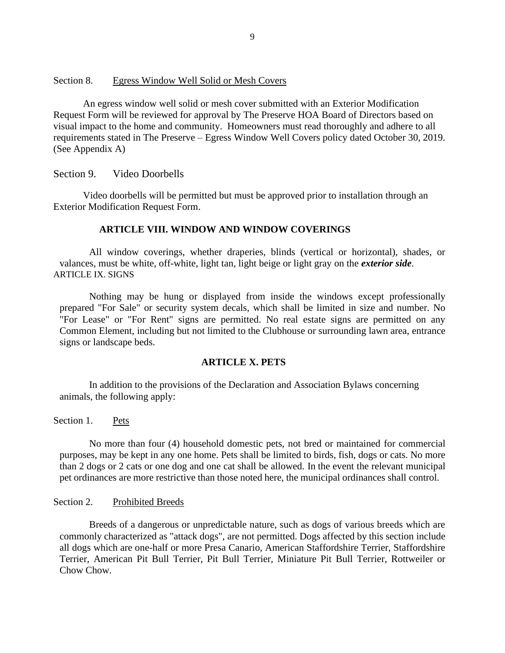#### <span id="page-9-0"></span>Section 8. Egress Window Well Solid or Mesh Covers

An egress window well solid or mesh cover submitted with an Exterior Modification Request Form will be reviewed for approval by The Preserve HOA Board of Directors based on visual impact to the home and community. Homeowners must read thoroughly and adhere to all requirements stated in The Preserve – Egress Window Well Covers policy dated October 30, 2019. (See Appendix A)

#### <span id="page-9-1"></span>Section 9. Video Doorbells

Video doorbells will be permitted but must be approved prior to installation through an Exterior Modification Request Form.

### **ARTICLE VIII. WINDOW AND WINDOW COVERINGS**

<span id="page-9-2"></span>All window coverings, whether draperies, blinds (vertical or horizontal), shades, or valances, must be white, off-white, light tan, light beige or light gray on the *exterior side*. ARTICLE IX. SIGNS

Nothing may be hung or displayed from inside the windows except professionally prepared "For Sale" or security system decals, which shall be limited in size and number. No "For Lease" or "For Rent" signs are permitted. No real estate signs are permitted on any Common Element, including but not limited to the Clubhouse or surrounding lawn area, entrance signs or landscape beds.

#### **ARTICLE X. PETS**

<span id="page-9-3"></span>In addition to the provisions of the Declaration and Association Bylaws concerning animals, the following apply:

<span id="page-9-4"></span>Section 1. Pets

No more than four (4) household domestic pets, not bred or maintained for commercial purposes, may be kept in any one home. Pets shall be limited to birds, fish, dogs or cats. No more than 2 dogs or 2 cats or one dog and one cat shall be allowed. In the event the relevant municipal pet ordinances are more restrictive than those noted here, the municipal ordinances shall control.

<span id="page-9-5"></span>Section 2. Prohibited Breeds

Breeds of a dangerous or unpredictable nature, such as dogs of various breeds which are commonly characterized as "attack dogs", are not permitted. Dogs affected by this section include all dogs which are one-half or more Presa Canario, American Staffordshire Terrier, Staffordshire Terrier, American Pit Bull Terrier, Pit Bull Terrier, Miniature Pit Bull Terrier, Rottweiler or Chow Chow.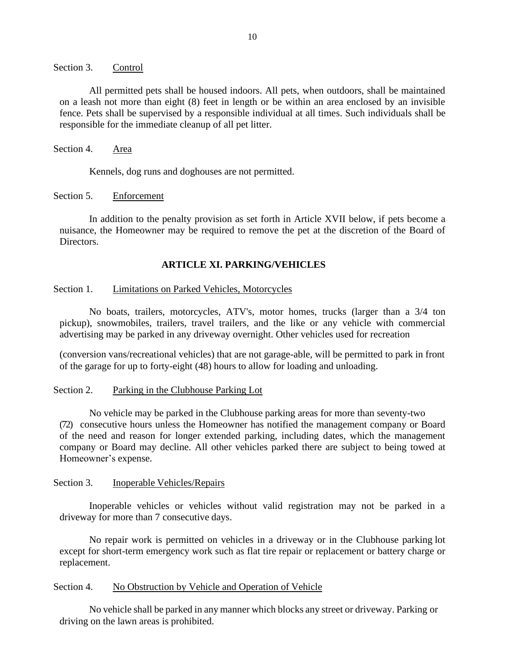<span id="page-10-0"></span>Section 3. Control

All permitted pets shall be housed indoors. All pets, when outdoors, shall be maintained on a leash not more than eight (8) feet in length or be within an area enclosed by an invisible fence. Pets shall be supervised by a responsible individual at all times. Such individuals shall be responsible for the immediate cleanup of all pet litter.

<span id="page-10-1"></span>Section 4. Area

Kennels, dog runs and doghouses are not permitted.

<span id="page-10-2"></span>Section 5. Enforcement

In addition to the penalty provision as set forth in Article XVII below, if pets become a nuisance, the Homeowner may be required to remove the pet at the discretion of the Board of Directors.

## **ARTICLE XI. PARKING/VEHICLES**

#### <span id="page-10-4"></span><span id="page-10-3"></span>Section 1. Limitations on Parked Vehicles, Motorcycles

No boats, trailers, motorcycles, ATV's, motor homes, trucks (larger than a 3/4 ton pickup), snowmobiles, trailers, travel trailers, and the like or any vehicle with commercial advertising may be parked in any driveway overnight. Other vehicles used for recreation

(conversion vans/recreational vehicles) that are not garage-able, will be permitted to park in front of the garage for up to forty-eight (48) hours to allow for loading and unloading.

#### <span id="page-10-5"></span>Section 2. Parking in the Clubhouse Parking Lot

No vehicle may be parked in the Clubhouse parking areas for more than seventy-two (72) consecutive hours unless the Homeowner has notified the management company or Board of the need and reason for longer extended parking, including dates, which the management company or Board may decline. All other vehicles parked there are subject to being towed at Homeowner's expense.

#### <span id="page-10-6"></span>Section 3. Inoperable Vehicles/Repairs

Inoperable vehicles or vehicles without valid registration may not be parked in a driveway for more than 7 consecutive days.

No repair work is permitted on vehicles in a driveway or in the Clubhouse parking lot except for short-term emergency work such as flat tire repair or replacement or battery charge or replacement.

#### <span id="page-10-7"></span>Section 4. No Obstruction by Vehicle and Operation of Vehicle

No vehicle shall be parked in any manner which blocks any street or driveway. Parking or driving on the lawn areas is prohibited.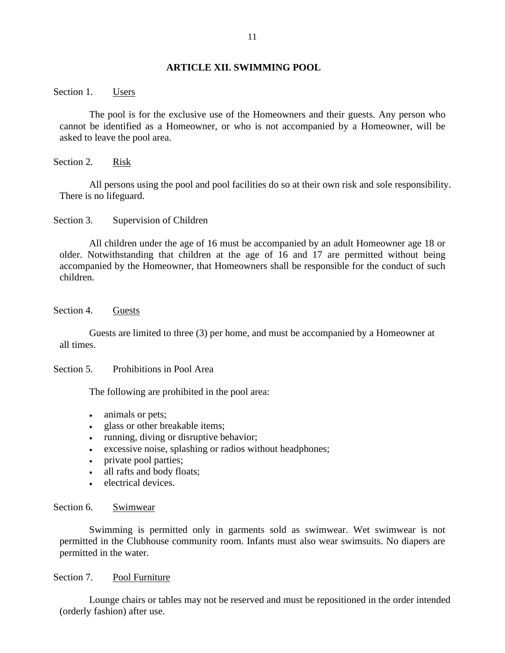#### **ARTICLE XII. SWIMMING POOL**

<span id="page-11-1"></span><span id="page-11-0"></span>Section 1. Users

The pool is for the exclusive use of the Homeowners and their guests. Any person who cannot be identified as a Homeowner, or who is not accompanied by a Homeowner, will be asked to leave the pool area.

<span id="page-11-2"></span>Section 2. Risk

All persons using the pool and pool facilities do so at their own risk and sole responsibility. There is no lifeguard.

<span id="page-11-3"></span>Section 3. Supervision of Children

All children under the age of 16 must be accompanied by an adult Homeowner age 18 or older. Notwithstanding that children at the age of 16 and 17 are permitted without being accompanied by the Homeowner, that Homeowners shall be responsible for the conduct of such children.

<span id="page-11-4"></span>Section 4. Guests

Guests are limited to three (3) per home, and must be accompanied by a Homeowner at all times.

<span id="page-11-5"></span>Section 5. Prohibitions in Pool Area

The following are prohibited in the pool area:

- animals or pets;
- glass or other breakable items;
- running, diving or disruptive behavior;
- excessive noise, splashing or radios without headphones;
- private pool parties;
- all rafts and body floats;
- electrical devices.

#### <span id="page-11-6"></span>Section 6. Swimwear

Swimming is permitted only in garments sold as swimwear. Wet swimwear is not permitted in the Clubhouse community room. Infants must also wear swimsuits. No diapers are permitted in the water.

### <span id="page-11-7"></span>Section 7. Pool Furniture

Lounge chairs or tables may not be reserved and must be repositioned in the order intended (orderly fashion) after use.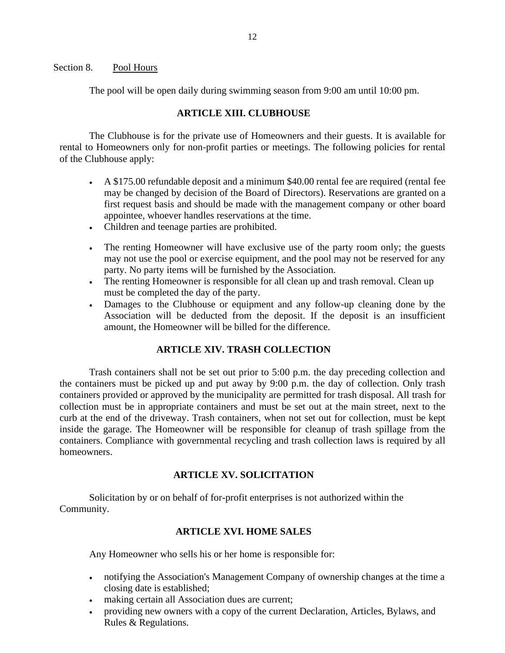#### <span id="page-12-0"></span>Section 8. Pool Hours

The pool will be open daily during swimming season from 9:00 am until 10:00 pm.

## **ARTICLE XIII. CLUBHOUSE**

<span id="page-12-1"></span>The Clubhouse is for the private use of Homeowners and their guests. It is available for rental to Homeowners only for non-profit parties or meetings. The following policies for rental of the Clubhouse apply:

- A \$175.00 refundable deposit and a minimum \$40.00 rental fee are required (rental fee may be changed by decision of the Board of Directors). Reservations are granted on a first request basis and should be made with the management company or other board appointee, whoever handles reservations at the time.
- Children and teenage parties are prohibited.
- The renting Homeowner will have exclusive use of the party room only; the guests may not use the pool or exercise equipment, and the pool may not be reserved for any party. No party items will be furnished by the Association.
- The renting Homeowner is responsible for all clean up and trash removal. Clean up must be completed the day of the party.
- Damages to the Clubhouse or equipment and any follow-up cleaning done by the Association will be deducted from the deposit. If the deposit is an insufficient amount, the Homeowner will be billed for the difference.

## **ARTICLE XIV. TRASH COLLECTION**

<span id="page-12-2"></span>Trash containers shall not be set out prior to 5:00 p.m. the day preceding collection and the containers must be picked up and put away by 9:00 p.m. the day of collection. Only trash containers provided or approved by the municipality are permitted for trash disposal. All trash for collection must be in appropriate containers and must be set out at the main street, next to the curb at the end of the driveway. Trash containers, when not set out for collection, must be kept inside the garage. The Homeowner will be responsible for cleanup of trash spillage from the containers. Compliance with governmental recycling and trash collection laws is required by all homeowners.

## **ARTICLE XV. SOLICITATION**

<span id="page-12-4"></span><span id="page-12-3"></span>Solicitation by or on behalf of for-profit enterprises is not authorized within the Community.

## **ARTICLE XVI. HOME SALES**

Any Homeowner who sells his or her home is responsible for:

- notifying the Association's Management Company of ownership changes at the time a closing date is established;
- making certain all Association dues are current;
- providing new owners with a copy of the current Declaration, Articles, Bylaws, and Rules & Regulations.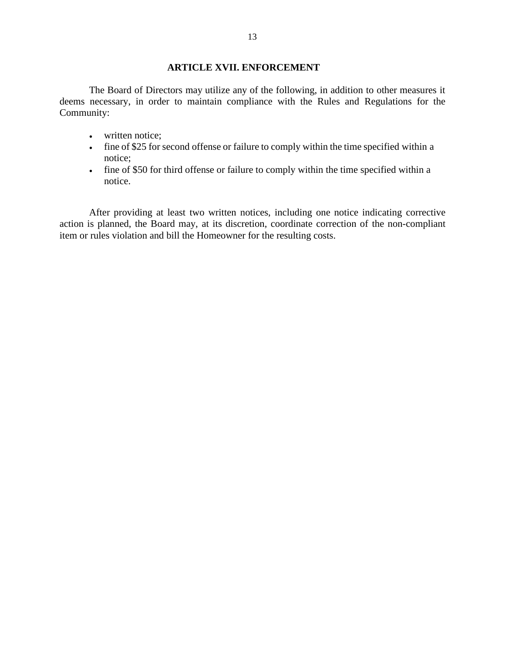## **ARTICLE XVII. ENFORCEMENT**

<span id="page-13-0"></span>The Board of Directors may utilize any of the following, in addition to other measures it deems necessary, in order to maintain compliance with the Rules and Regulations for the Community:

- written notice;
- fine of \$25 for second offense or failure to comply within the time specified within a notice;
- fine of \$50 for third offense or failure to comply within the time specified within a notice.

After providing at least two written notices, including one notice indicating corrective action is planned, the Board may, at its discretion, coordinate correction of the non-compliant item or rules violation and bill the Homeowner for the resulting costs.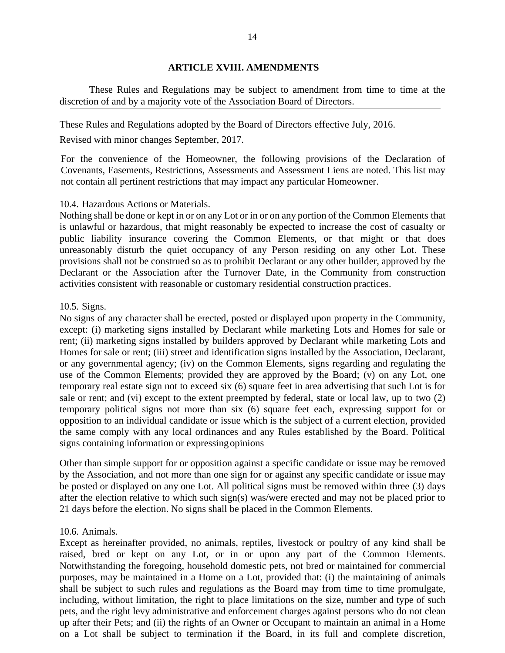#### **ARTICLE XVIII. AMENDMENTS**

<span id="page-14-0"></span>These Rules and Regulations may be subject to amendment from time to time at the discretion of and by a majority vote of the Association Board of Directors.

These Rules and Regulations adopted by the Board of Directors effective July, 2016.

Revised with minor changes September, 2017.

For the convenience of the Homeowner, the following provisions of the Declaration of Covenants, Easements, Restrictions, Assessments and Assessment Liens are noted. This list may not contain all pertinent restrictions that may impact any particular Homeowner.

#### 10.4. Hazardous Actions or Materials.

Nothing shall be done or kept in or on any Lot or in or on any portion of the Common Elements that is unlawful or hazardous, that might reasonably be expected to increase the cost of casualty or public liability insurance covering the Common Elements, or that might or that does unreasonably disturb the quiet occupancy of any Person residing on any other Lot. These provisions shall not be construed so as to prohibit Declarant or any other builder, approved by the Declarant or the Association after the Turnover Date, in the Community from construction activities consistent with reasonable or customary residential construction practices.

#### 10.5. Signs.

No signs of any character shall be erected, posted or displayed upon property in the Community, except: (i) marketing signs installed by Declarant while marketing Lots and Homes for sale or rent; (ii) marketing signs installed by builders approved by Declarant while marketing Lots and Homes for sale or rent; (iii) street and identification signs installed by the Association, Declarant, or any governmental agency; (iv) on the Common Elements, signs regarding and regulating the use of the Common Elements; provided they are approved by the Board; (v) on any Lot, one temporary real estate sign not to exceed six (6) square feet in area advertising that such Lot is for sale or rent; and (vi) except to the extent preempted by federal, state or local law, up to two (2) temporary political signs not more than six (6) square feet each, expressing support for or opposition to an individual candidate or issue which is the subject of a current election, provided the same comply with any local ordinances and any Rules established by the Board. Political signs containing information or expressingopinions

Other than simple support for or opposition against a specific candidate or issue may be removed by the Association, and not more than one sign for or against any specific candidate or issue may be posted or displayed on any one Lot. All political signs must be removed within three (3) days after the election relative to which such sign(s) was/were erected and may not be placed prior to 21 days before the election. No signs shall be placed in the Common Elements.

#### 10.6. Animals.

Except as hereinafter provided, no animals, reptiles, livestock or poultry of any kind shall be raised, bred or kept on any Lot, or in or upon any part of the Common Elements. Notwithstanding the foregoing, household domestic pets, not bred or maintained for commercial purposes, may be maintained in a Home on a Lot, provided that: (i) the maintaining of animals shall be subject to such rules and regulations as the Board may from time to time promulgate, including, without limitation, the right to place limitations on the size, number and type of such pets, and the right levy administrative and enforcement charges against persons who do not clean up after their Pets; and (ii) the rights of an Owner or Occupant to maintain an animal in a Home on a Lot shall be subject to termination if the Board, in its full and complete discretion,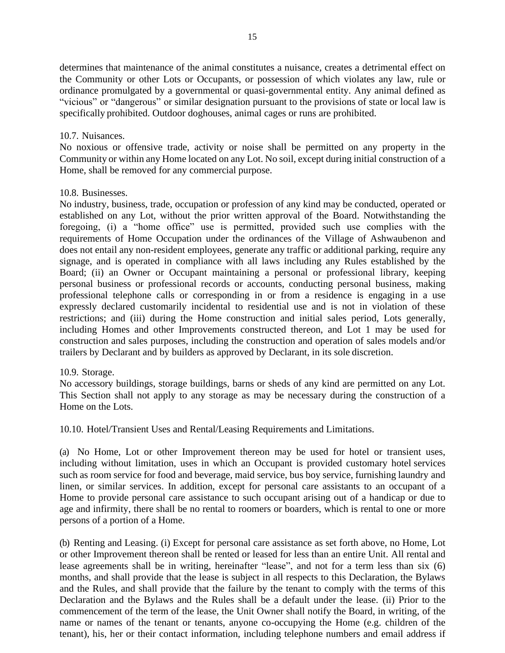determines that maintenance of the animal constitutes a nuisance, creates a detrimental effect on the Community or other Lots or Occupants, or possession of which violates any law, rule or ordinance promulgated by a governmental or quasi-governmental entity. Any animal defined as "vicious" or "dangerous" or similar designation pursuant to the provisions of state or local law is specifically prohibited. Outdoor doghouses, animal cages or runs are prohibited.

### 10.7. Nuisances.

No noxious or offensive trade, activity or noise shall be permitted on any property in the Community or within any Home located on any Lot. No soil, except during initial construction of a Home, shall be removed for any commercial purpose.

### 10.8. Businesses.

No industry, business, trade, occupation or profession of any kind may be conducted, operated or established on any Lot, without the prior written approval of the Board. Notwithstanding the foregoing, (i) a "home office" use is permitted, provided such use complies with the requirements of Home Occupation under the ordinances of the Village of Ashwaubenon and does not entail any non-resident employees, generate any traffic or additional parking, require any signage, and is operated in compliance with all laws including any Rules established by the Board; (ii) an Owner or Occupant maintaining a personal or professional library, keeping personal business or professional records or accounts, conducting personal business, making professional telephone calls or corresponding in or from a residence is engaging in a use expressly declared customarily incidental to residential use and is not in violation of these restrictions; and (iii) during the Home construction and initial sales period, Lots generally, including Homes and other Improvements constructed thereon, and Lot 1 may be used for construction and sales purposes, including the construction and operation of sales models and/or trailers by Declarant and by builders as approved by Declarant, in its sole discretion.

#### 10.9. Storage.

No accessory buildings, storage buildings, barns or sheds of any kind are permitted on any Lot. This Section shall not apply to any storage as may be necessary during the construction of a Home on the Lots.

10.10. Hotel/Transient Uses and Rental/Leasing Requirements and Limitations.

(a) No Home, Lot or other Improvement thereon may be used for hotel or transient uses, including without limitation, uses in which an Occupant is provided customary hotel services such as room service for food and beverage, maid service, bus boy service, furnishing laundry and linen, or similar services. In addition, except for personal care assistants to an occupant of a Home to provide personal care assistance to such occupant arising out of a handicap or due to age and infirmity, there shall be no rental to roomers or boarders, which is rental to one or more persons of a portion of a Home.

(b) Renting and Leasing. (i) Except for personal care assistance as set forth above, no Home, Lot or other Improvement thereon shall be rented or leased for less than an entire Unit. All rental and lease agreements shall be in writing, hereinafter "lease", and not for a term less than six (6) months, and shall provide that the lease is subject in all respects to this Declaration, the Bylaws and the Rules, and shall provide that the failure by the tenant to comply with the terms of this Declaration and the Bylaws and the Rules shall be a default under the lease. (ii) Prior to the commencement of the term of the lease, the Unit Owner shall notify the Board, in writing, of the name or names of the tenant or tenants, anyone co-occupying the Home (e.g. children of the tenant), his, her or their contact information, including telephone numbers and email address if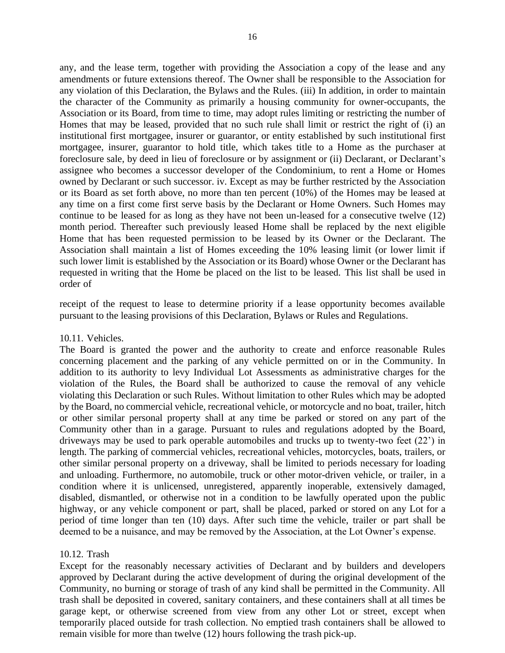any, and the lease term, together with providing the Association a copy of the lease and any amendments or future extensions thereof. The Owner shall be responsible to the Association for any violation of this Declaration, the Bylaws and the Rules. (iii) In addition, in order to maintain the character of the Community as primarily a housing community for owner-occupants, the Association or its Board, from time to time, may adopt rules limiting or restricting the number of Homes that may be leased, provided that no such rule shall limit or restrict the right of (i) an institutional first mortgagee, insurer or guarantor, or entity established by such institutional first mortgagee, insurer, guarantor to hold title, which takes title to a Home as the purchaser at foreclosure sale, by deed in lieu of foreclosure or by assignment or (ii) Declarant, or Declarant's assignee who becomes a successor developer of the Condominium, to rent a Home or Homes owned by Declarant or such successor. iv. Except as may be further restricted by the Association or its Board as set forth above, no more than ten percent (10%) of the Homes may be leased at any time on a first come first serve basis by the Declarant or Home Owners. Such Homes may continue to be leased for as long as they have not been un-leased for a consecutive twelve (12) month period. Thereafter such previously leased Home shall be replaced by the next eligible Home that has been requested permission to be leased by its Owner or the Declarant. The Association shall maintain a list of Homes exceeding the 10% leasing limit (or lower limit if such lower limit is established by the Association or its Board) whose Owner or the Declarant has requested in writing that the Home be placed on the list to be leased. This list shall be used in order of

receipt of the request to lease to determine priority if a lease opportunity becomes available pursuant to the leasing provisions of this Declaration, Bylaws or Rules and Regulations.

#### 10.11. Vehicles.

The Board is granted the power and the authority to create and enforce reasonable Rules concerning placement and the parking of any vehicle permitted on or in the Community. In addition to its authority to levy Individual Lot Assessments as administrative charges for the violation of the Rules, the Board shall be authorized to cause the removal of any vehicle violating this Declaration or such Rules. Without limitation to other Rules which may be adopted by the Board, no commercial vehicle, recreational vehicle, or motorcycle and no boat, trailer, hitch or other similar personal property shall at any time be parked or stored on any part of the Community other than in a garage. Pursuant to rules and regulations adopted by the Board, driveways may be used to park operable automobiles and trucks up to twenty-two feet (22') in length. The parking of commercial vehicles, recreational vehicles, motorcycles, boats, trailers, or other similar personal property on a driveway, shall be limited to periods necessary for loading and unloading. Furthermore, no automobile, truck or other motor-driven vehicle, or trailer, in a condition where it is unlicensed, unregistered, apparently inoperable, extensively damaged, disabled, dismantled, or otherwise not in a condition to be lawfully operated upon the public highway, or any vehicle component or part, shall be placed, parked or stored on any Lot for a period of time longer than ten (10) days. After such time the vehicle, trailer or part shall be deemed to be a nuisance, and may be removed by the Association, at the Lot Owner's expense.

## 10.12. Trash

Except for the reasonably necessary activities of Declarant and by builders and developers approved by Declarant during the active development of during the original development of the Community, no burning or storage of trash of any kind shall be permitted in the Community. All trash shall be deposited in covered, sanitary containers, and these containers shall at all times be garage kept, or otherwise screened from view from any other Lot or street, except when temporarily placed outside for trash collection. No emptied trash containers shall be allowed to remain visible for more than twelve (12) hours following the trash pick-up.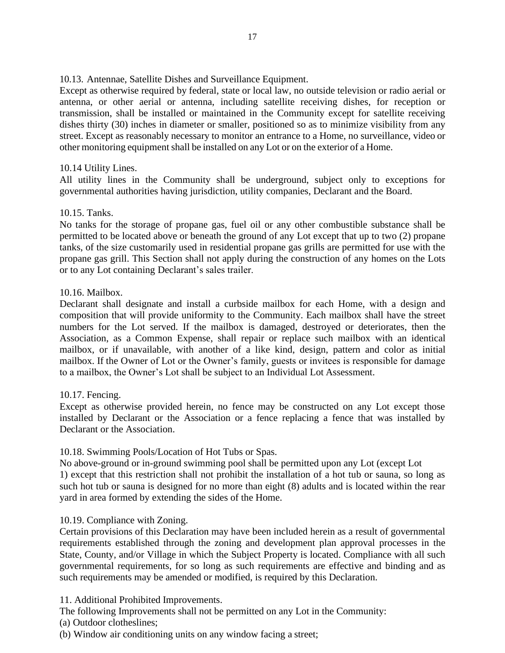10.13. Antennae, Satellite Dishes and Surveillance Equipment.

Except as otherwise required by federal, state or local law, no outside television or radio aerial or antenna, or other aerial or antenna, including satellite receiving dishes, for reception or transmission, shall be installed or maintained in the Community except for satellite receiving dishes thirty (30) inches in diameter or smaller, positioned so as to minimize visibility from any street. Except as reasonably necessary to monitor an entrance to a Home, no surveillance, video or other monitoring equipment shall be installed on any Lot or on the exterior of a Home.

## 10.14 Utility Lines.

All utility lines in the Community shall be underground, subject only to exceptions for governmental authorities having jurisdiction, utility companies, Declarant and the Board.

## 10.15. Tanks.

No tanks for the storage of propane gas, fuel oil or any other combustible substance shall be permitted to be located above or beneath the ground of any Lot except that up to two (2) propane tanks, of the size customarily used in residential propane gas grills are permitted for use with the propane gas grill. This Section shall not apply during the construction of any homes on the Lots or to any Lot containing Declarant's sales trailer.

## 10.16. Mailbox.

Declarant shall designate and install a curbside mailbox for each Home, with a design and composition that will provide uniformity to the Community. Each mailbox shall have the street numbers for the Lot served. If the mailbox is damaged, destroyed or deteriorates, then the Association, as a Common Expense, shall repair or replace such mailbox with an identical mailbox, or if unavailable, with another of a like kind, design, pattern and color as initial mailbox. If the Owner of Lot or the Owner's family, guests or invitees is responsible for damage to a mailbox, the Owner's Lot shall be subject to an Individual Lot Assessment.

## 10.17. Fencing.

Except as otherwise provided herein, no fence may be constructed on any Lot except those installed by Declarant or the Association or a fence replacing a fence that was installed by Declarant or the Association.

## 10.18. Swimming Pools/Location of Hot Tubs or Spas.

No above-ground or in-ground swimming pool shall be permitted upon any Lot (except Lot 1) except that this restriction shall not prohibit the installation of a hot tub or sauna, so long as such hot tub or sauna is designed for no more than eight (8) adults and is located within the rear yard in area formed by extending the sides of the Home.

## 10.19. Compliance with Zoning.

Certain provisions of this Declaration may have been included herein as a result of governmental requirements established through the zoning and development plan approval processes in the State, County, and/or Village in which the Subject Property is located. Compliance with all such governmental requirements, for so long as such requirements are effective and binding and as such requirements may be amended or modified, is required by this Declaration.

## 11. Additional Prohibited Improvements.

The following Improvements shall not be permitted on any Lot in the Community:

(a) Outdoor clotheslines;

(b) Window air conditioning units on any window facing a street;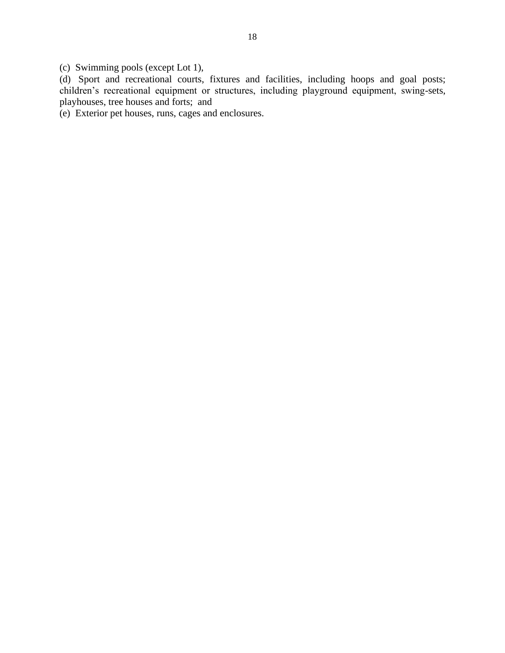(c) Swimming pools (except Lot 1),

(d) Sport and recreational courts, fixtures and facilities, including hoops and goal posts; children's recreational equipment or structures, including playground equipment, swing-sets, playhouses, tree houses and forts; and

(e) Exterior pet houses, runs, cages and enclosures.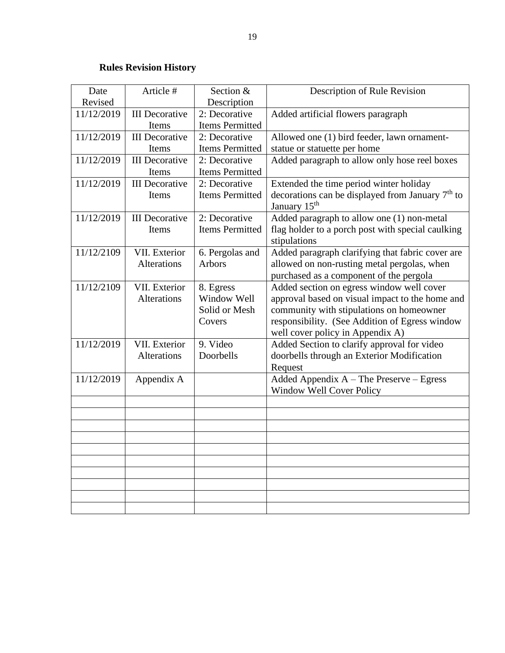# **Rules Revision History**

<span id="page-19-0"></span>

| Date       | Article #             | Section &              | Description of Rule Revision                                                   |
|------------|-----------------------|------------------------|--------------------------------------------------------------------------------|
| Revised    |                       | Description            |                                                                                |
| 11/12/2019 | <b>III</b> Decorative | 2: Decorative          | Added artificial flowers paragraph                                             |
|            | Items                 | <b>Items Permitted</b> |                                                                                |
| 11/12/2019 | <b>III</b> Decorative | 2: Decorative          | Allowed one (1) bird feeder, lawn ornament-                                    |
|            | Items                 | Items Permitted        | statue or statuette per home                                                   |
| 11/12/2019 | <b>III</b> Decorative | 2: Decorative          | Added paragraph to allow only hose reel boxes                                  |
|            | Items                 | Items Permitted        |                                                                                |
| 11/12/2019 | <b>III</b> Decorative | 2: Decorative          | Extended the time period winter holiday                                        |
|            | Items                 | <b>Items Permitted</b> | decorations can be displayed from January $7th$ to<br>January 15 <sup>th</sup> |
| 11/12/2019 | <b>III</b> Decorative | 2: Decorative          | Added paragraph to allow one (1) non-metal                                     |
|            | Items                 | <b>Items Permitted</b> | flag holder to a porch post with special caulking<br>stipulations              |
| 11/12/2109 | VII. Exterior         | 6. Pergolas and        | Added paragraph clarifying that fabric cover are                               |
|            | <b>Alterations</b>    | Arbors                 | allowed on non-rusting metal pergolas, when                                    |
|            |                       |                        | purchased as a component of the pergola                                        |
| 11/12/2109 | VII. Exterior         | 8. Egress              | Added section on egress window well cover                                      |
|            | Alterations           | Window Well            | approval based on visual impact to the home and                                |
|            |                       | Solid or Mesh          | community with stipulations on homeowner                                       |
|            |                       | Covers                 | responsibility. (See Addition of Egress window                                 |
|            |                       |                        | well cover policy in Appendix A)                                               |
| 11/12/2019 | VII. Exterior         | 9. Video               | Added Section to clarify approval for video                                    |
|            | Alterations           | Doorbells              | doorbells through an Exterior Modification                                     |
|            |                       |                        | Request                                                                        |
| 11/12/2019 | Appendix A            |                        | Added Appendix A - The Preserve - Egress                                       |
|            |                       |                        | Window Well Cover Policy                                                       |
|            |                       |                        |                                                                                |
|            |                       |                        |                                                                                |
|            |                       |                        |                                                                                |
|            |                       |                        |                                                                                |
|            |                       |                        |                                                                                |
|            |                       |                        |                                                                                |
|            |                       |                        |                                                                                |
|            |                       |                        |                                                                                |
|            |                       |                        |                                                                                |
|            |                       |                        |                                                                                |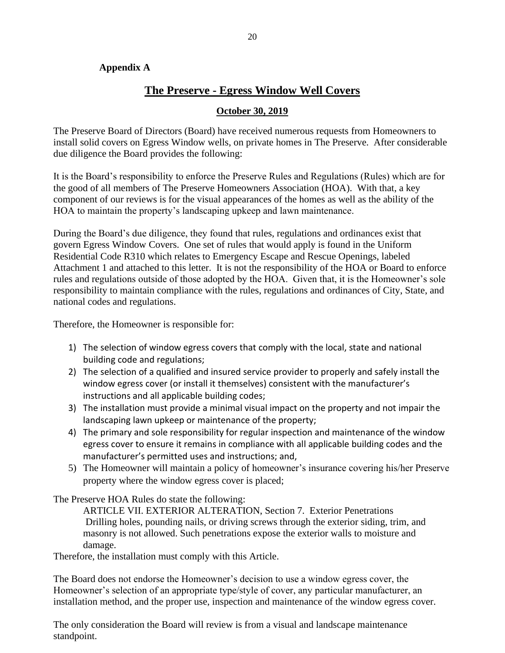## <span id="page-20-0"></span>**Appendix A**

# **The Preserve - Egress Window Well Covers**

## **October 30, 2019**

<span id="page-20-1"></span>The Preserve Board of Directors (Board) have received numerous requests from Homeowners to install solid covers on Egress Window wells, on private homes in The Preserve. After considerable due diligence the Board provides the following:

It is the Board's responsibility to enforce the Preserve Rules and Regulations (Rules) which are for the good of all members of The Preserve Homeowners Association (HOA). With that, a key component of our reviews is for the visual appearances of the homes as well as the ability of the HOA to maintain the property's landscaping upkeep and lawn maintenance.

During the Board's due diligence, they found that rules, regulations and ordinances exist that govern Egress Window Covers. One set of rules that would apply is found in the Uniform Residential Code R310 which relates to Emergency Escape and Rescue Openings, labeled Attachment 1 and attached to this letter. It is not the responsibility of the HOA or Board to enforce rules and regulations outside of those adopted by the HOA. Given that, it is the Homeowner's sole responsibility to maintain compliance with the rules, regulations and ordinances of City, State, and national codes and regulations.

Therefore, the Homeowner is responsible for:

- 1) The selection of window egress covers that comply with the local, state and national building code and regulations;
- 2) The selection of a qualified and insured service provider to properly and safely install the window egress cover (or install it themselves) consistent with the manufacturer's instructions and all applicable building codes;
- 3) The installation must provide a minimal visual impact on the property and not impair the landscaping lawn upkeep or maintenance of the property;
- 4) The primary and sole responsibility for regular inspection and maintenance of the window egress cover to ensure it remains in compliance with all applicable building codes and the manufacturer's permitted uses and instructions; and,
- 5) The Homeowner will maintain a policy of homeowner's insurance covering his/her Preserve property where the window egress cover is placed;

The Preserve HOA Rules do state the following:

ARTICLE VII. EXTERIOR ALTERATION, Section 7. Exterior Penetrations Drilling holes, pounding nails, or driving screws through the exterior siding, trim, and masonry is not allowed. Such penetrations expose the exterior walls to moisture and damage.

Therefore, the installation must comply with this Article.

The Board does not endorse the Homeowner's decision to use a window egress cover, the Homeowner's selection of an appropriate type/style of cover, any particular manufacturer, an installation method, and the proper use, inspection and maintenance of the window egress cover.

The only consideration the Board will review is from a visual and landscape maintenance standpoint.